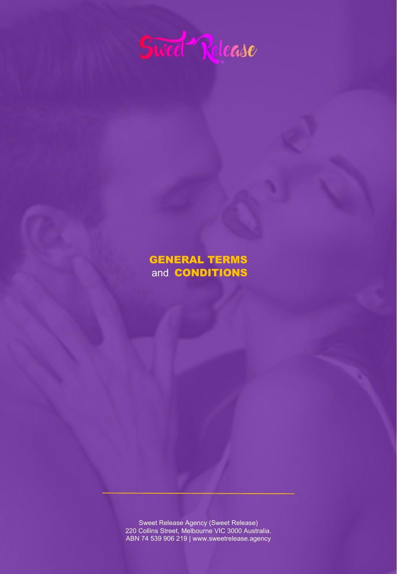

# GENERAL TERMS and CONDITIONS

Sweet Release Agency (Sweet Release) 220 Collins Street, Melbourne VIC 3000 Australia. ABN 74 539 906 219 | www.sweetrelease.agency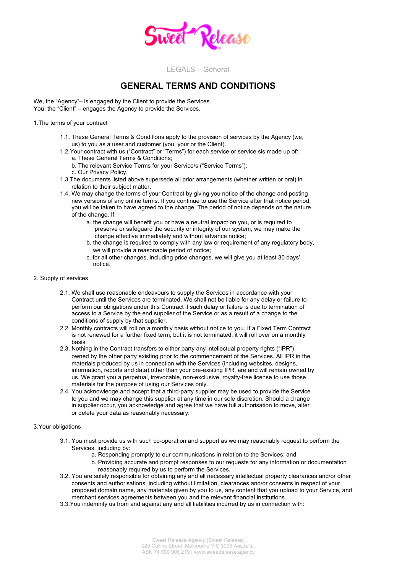

## **GENERAL TERMS AND CONDITIONS**

We, the "Agency"– is engaged by the Client to provide the Services. You, the "Client" – engages the Agency to provide the Services.

1.The terms of your contract

- 1.1. These General Terms & Conditions apply to the provision of services by the Agency (we, us) to you as a user and customer (you, your or the Client).
- 1.2.Your contract with us ("Contract" or "Terms") for each service or service sis made up of: a. These General Terms & Conditions;
	- b. The relevant Service Terms for your Service/s ("Service Terms");
	- c. Our Privacy Policy.
- 1.3.The documents listed above supersede all prior arrangements (whether written or oral) in relation to their subject matter.
- 1.4. We may change the terms of your Contract by giving you notice of the change and posting new versions of any online terms. If you continue to use the Service after that notice period, you will be taken to have agreed to the change. The period of notice depends on the nature of the change. If:
	- a. the change will benefit you or have a neutral impact on you, or is required to preserve or safeguard the security or integrity of our system, we may make the change effective immediately and without advance notice;
	- b. the change is required to comply with any law or requirement of any regulatory body, we will provide a reasonable period of notice;
	- c. for all other changes, including price changes, we will give you at least 30 days' notice.
- 2. Supply of services
	- 2.1. We shall use reasonable endeavours to supply the Services in accordance with your Contract until the Services are terminated. We shall not be liable for any delay or failure to perform our obligations under this Contract if such delay or failure is due to termination of access to a Service by the end supplier of the Service or as a result of a change to the conditions of supply by that supplier.
	- 2.2. Monthly contracts will roll on a monthly basis without notice to you. If a Fixed Term Contract is not renewed for a further fixed term, but it is not terminated, it will roll over on a monthly basis.
	- 2.3. Nothing in the Contract transfers to either party any intellectual property rights ("IPR") owned by the other party existing prior to the commencement of the Services. All IPR in the materials produced by us in connection with the Services (including websites, designs, information, reports and data) other than your pre-existing IPR, are and will remain owned by us. We grant you a perpetual, irrevocable, non-exclusive, royalty-free license to use those materials for the purpose of using our Services only.
	- 2.4. You acknowledge and accept that a third-party supplier may be used to provide the Service to you and we may change this supplier at any time in our sole discretion. Should a change in supplier occur, you acknowledge and agree that we have full authorisation to move, alter or delete your data as reasonably necessary.

### 3.Your obligations

- 3.1. You must provide us with such co-operation and support as we may reasonably request to perform the Services, including by:
	- a. Responding promptly to our communications in relation to the Services; and
	- b. Providing accurate and prompt responses to our requests for any information or documentation reasonably required by us to perform the Services.
- 3.2. You are solely responsible for obtaining any and all necessary intellectual property clearances and/or other consents and authorisations, including without limitation, clearances and/or consents in respect of your proposed domain name, any materials given by you to us, any content that you upload to your Service, and merchant services agreements between you and the relevant financial institutions.
- 3.3.You indemnify us from and against any and all liabilities incurred by us in connection with: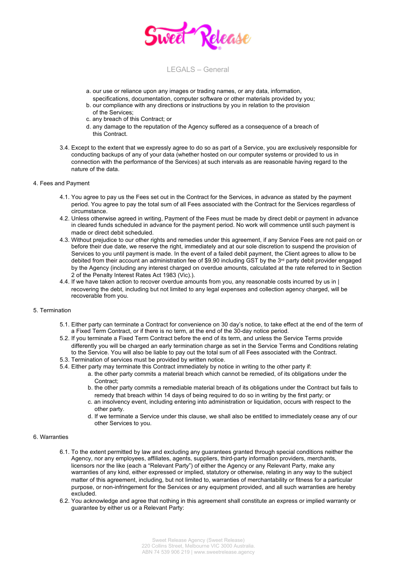

- a. our use or reliance upon any images or trading names, or any data, information,
- specifications, documentation, computer software or other materials provided by you; b. our compliance with any directions or instructions by you in relation to the provision
- of the Services; c. any breach of this Contract; or
- d. any damage to the reputation of the Agency suffered as a consequence of a breach of this Contract.
- 3.4. Except to the extent that we expressly agree to do so as part of a Service, you are exclusively responsible for conducting backups of any of your data (whether hosted on our computer systems or provided to us in connection with the performance of the Services) at such intervals as are reasonable having regard to the nature of the data.

#### 4. Fees and Payment

- 4.1. You agree to pay us the Fees set out in the Contract for the Services, in advance as stated by the payment period. You agree to pay the total sum of all Fees associated with the Contract for the Services regardless of circumstance.
- 4.2. Unless otherwise agreed in writing, Payment of the Fees must be made by direct debit or payment in advance in cleared funds scheduled in advance for the payment period. No work will commence until such payment is made or direct debit scheduled.
- 4.3. Without prejudice to our other rights and remedies under this agreement, if any Service Fees are not paid on or before their due date, we reserve the right, immediately and at our sole discretion to suspend the provision of Services to you until payment is made. In the event of a failed debit payment, the Client agrees to allow to be debited from their account an administration fee of \$9.90 including GST by the 3<sup>rd</sup> party debit provider engaged by the Agency (including any interest charged on overdue amounts, calculated at the rate referred to in Section 2 of the Penalty Interest Rates Act 1983 (Vic).).
- 4.4. If we have taken action to recover overdue amounts from you, any reasonable costs incurred by us in | recovering the debt, including but not limited to any legal expenses and collection agency charged, will be recoverable from you.

### 5. Termination

- 5.1. Either party can terminate a Contract for convenience on 30 day's notice, to take effect at the end of the term of a Fixed Term Contract, or if there is no term, at the end of the 30-day notice period.
- 5.2. If you terminate a Fixed Term Contract before the end of its term, and unless the Service Terms provide differently you will be charged an early termination charge as set in the Service Terms and Conditions relating to the Service. You will also be liable to pay out the total sum of all Fees associated with the Contract.
- 5.3. Termination of services must be provided by written notice.
- 5.4. Either party may terminate this Contract immediately by notice in writing to the other party if:
	- a. the other party commits a material breach which cannot be remedied, of its obligations under the Contract:
		- b. the other party commits a remediable material breach of its obligations under the Contract but fails to remedy that breach within 14 days of being required to do so in writing by the first party; or
		- c. an insolvency event, including entering into administration or liquidation, occurs with respect to the other party.
		- d. If we terminate a Service under this clause, we shall also be entitled to immediately cease any of our other Services to you.

### 6. Warranties

- 6.1. To the extent permitted by law and excluding any guarantees granted through special conditions neither the Agency, nor any employees, affiliates, agents, suppliers, third-party information providers, merchants, licensors nor the like (each a "Relevant Party") of either the Agency or any Relevant Party, make any warranties of any kind, either expressed or implied, statutory or otherwise, relating in any way to the subject matter of this agreement, including, but not limited to, warranties of merchantability or fitness for a particular purpose, or non-infringement for the Services or any equipment provided, and all such warranties are hereby excluded.
- 6.2. You acknowledge and agree that nothing in this agreement shall constitute an express or implied warranty or guarantee by either us or a Relevant Party: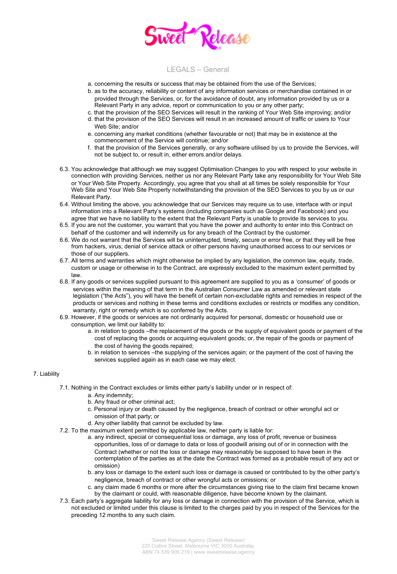

- a. concerning the results or success that may be obtained from the use of the Services;
- b. as to the accuracy, reliability or content of any information services or merchandise contained in or provided through the Services, or, for the avoidance of doubt, any information provided by us or a Relevant Party in any advice, report or communication to you or any other party;
- c. that the provision of the SEO Services will result in the ranking of Your Web Site improving; and/or
- d. that the provision of the SEO Services will result in an increased amount of traffic or users to Your Web Site; and/or
- e. concerning any market conditions (whether favourable or not) that may be in existence at the commencement of the Service will continue; and/or
- f. that the provision of the Services generally, or any software utilised by us to provide the Services, will not be subject to, or result in, either errors and/or delays.
- 6.3. You acknowledge that although we may suggest Optimisation Changes to you with respect to your website in connection with providing Services, neither us nor any Relevant Party take any responsibility for Your Web Site or Your Web Site Property. Accordingly, you agree that you shall at all times be solely responsible for Your Web Site and Your Web Site Property notwithstanding the provision of the SEO Services to you by us or our Relevant Party.
- 6.4. Without limiting the above, you acknowledge that our Services may require us to use, interface with or input information into a Relevant Party's systems (including companies such as Google and Facebook) and you agree that we have no liability to the extent that the Relevant Party is unable to provide its services to you.
- 6.5. If you are not the customer, you warrant that you have the power and authority to enter into this Contract on behalf of the customer and will indemnify us for any breach of the Contract by the customer.
- 6.6. We do not warrant that the Services will be uninterrupted, timely, secure or error free, or that they will be free from hackers, virus, denial of service attack or other persons having unauthorised access to our services or those of our suppliers.
- 6.7. All terms and warranties which might otherwise be implied by any legislation, the common law, equity, trade, custom or usage or otherwise in to the Contract, are expressly excluded to the maximum extent permitted by law.
- 6.8. If any goods or services supplied pursuant to this agreement are supplied to you as a 'consumer' of goods or services within the meaning of that term in the Australian Consumer Law as amended or relevant state legislation ("the Acts"), you will have the benefit of certain non-excludable rights and remedies in respect of the products or services and nothing in these terms and conditions excludes or restricts or modifies any condition, warranty, right or remedy which is so conferred by the Acts.
- 6.9. However, if the goods or services are not ordinarily acquired for personal, domestic or household use or consumption, we limit our liability to:
	- a. in relation to goods –the replacement of the goods or the supply of equivalent goods or payment of the cost of replacing the goods or acquiring equivalent goods; or, the repair of the goods or payment of the cost of having the goods repaired;
	- b. in relation to services –the supplying of the services again; or the payment of the cost of having the services supplied again as in each case we may elect.

### 7. Liability

- 7.1. Nothing in the Contract excludes or limits either party's liability under or in respect of:
	- a. Any indemnity;
	- b. Any fraud or other criminal act;
	- c. Personal injury or death caused by the negligence, breach of contract or other wrongful act or omission of that party; or
	- d. Any other liability that cannot be excluded by law.
- 7.2. To the maximum extent permitted by applicable law, neither party is liable for:
	- a. any indirect, special or consequential loss or damage, any loss of profit, revenue or business opportunities, loss of or damage to data or loss of goodwill arising out of or in connection with the Contract (whether or not the loss or damage may reasonably be supposed to have been in the contemplation of the parties as at the date the Contract was formed as a probable result of any act or omission)
	- b. any loss or damage to the extent such loss or damage is caused or contributed to by the other party's negligence, breach of contract or other wrongful acts or omissions; or
	- c. any claim made 6 months or more after the circumstances giving rise to the claim first became known by the claimant or could, with reasonable diligence, have become known by the claimant.
- 7.3. Each party's aggregate liability for any loss or damage in connection with the provision of the Service, which is not excluded or limited under this clause is limited to the charges paid by you in respect of the Services for the preceding 12 months to any such claim.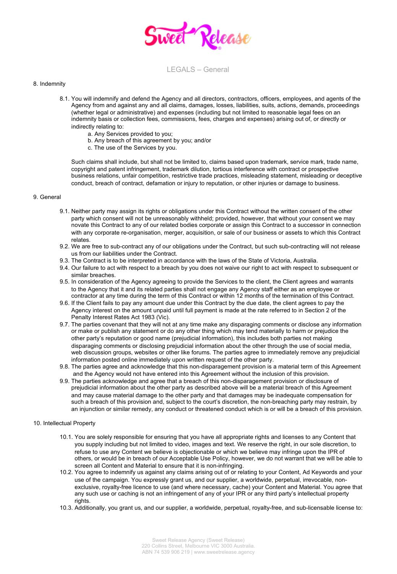

### 8. Indemnity

- 8.1. You will indemnify and defend the Agency and all directors, contractors, officers, employees, and agents of the Agency from and against any and all claims, damages, losses, liabilities, suits, actions, demands, proceedings (whether legal or administrative) and expenses (including but not limited to reasonable legal fees on an indemnity basis or collection fees, commissions, fees, charges and expenses) arising out of, or directly or indirectly relating to:
	- a. Any Services provided to you;
	- b. Any breach of this agreement by you; and/or
	- c. The use of the Services by you.

Such claims shall include, but shall not be limited to, claims based upon trademark, service mark, trade name, copyright and patent infringement, trademark dilution, tortious interference with contract or prospective business relations, unfair competition, restrictive trade practices, misleading statement, misleading or deceptive conduct, breach of contract, defamation or injury to reputation, or other injuries or damage to business.

### 9. General

- 9.1. Neither party may assign its rights or obligations under this Contract without the written consent of the other party which consent will not be unreasonably withheld; provided, however, that without your consent we may novate this Contract to any of our related bodies corporate or assign this Contract to a successor in connection with any corporate re-organisation, merger, acquisition, or sale of our business or assets to which this Contract relates.
- 9.2. We are free to sub-contract any of our obligations under the Contract, but such sub-contracting will not release us from our liabilities under the Contract.
- 9.3. The Contract is to be interpreted in accordance with the laws of the State of Victoria, Australia.
- 9.4. Our failure to act with respect to a breach by you does not waive our right to act with respect to subsequent or similar breaches.
- 9.5. In consideration of the Agency agreeing to provide the Services to the client, the Client agrees and warrants to the Agency that it and its related parties shall not engage any Agency staff either as an employee or contractor at any time during the term of this Contract or within 12 months of the termination of this Contract.
- 9.6. If the Client fails to pay any amount due under this Contract by the due date, the client agrees to pay the Agency interest on the amount unpaid until full payment is made at the rate referred to in Section 2 of the Penalty Interest Rates Act 1983 (Vic).
- 9.7. The parties covenant that they will not at any time make any disparaging comments or disclose any information or make or publish any statement or do any other thing which may tend materially to harm or prejudice the other party's reputation or good name (prejudicial information), this includes both parties not making disparaging comments or disclosing prejudicial information about the other through the use of social media, web discussion groups, websites or other like forums. The parties agree to immediately remove any prejudicial information posted online immediately upon written request of the other party.
- 9.8. The parties agree and acknowledge that this non-disparagement provision is a material term of this Agreement and the Agency would not have entered into this Agreement without the inclusion of this provision.
- 9.9. The parties acknowledge and agree that a breach of this non-disparagement provision or disclosure of prejudicial information about the other party as described above will be a material breach of this Agreement and may cause material damage to the other party and that damages may be inadequate compensation for such a breach of this provision and, subject to the court's discretion, the non-breaching party may restrain, by an injunction or similar remedy, any conduct or threatened conduct which is or will be a breach of this provision.

### 10. Intellectual Property

- 10.1. You are solely responsible for ensuring that you have all appropriate rights and licenses to any Content that you supply including but not limited to video, images and text. We reserve the right, in our sole discretion, to refuse to use any Content we believe is objectionable or which we believe may infringe upon the IPR of others, or would be in breach of our Acceptable Use Policy, however, we do not warrant that we will be able to screen all Content and Material to ensure that it is non-infringing.
- 10.2. You agree to indemnify us against any claims arising out of or relating to your Content, Ad Keywords and your use of the campaign. You expressly grant us, and our supplier, a worldwide, perpetual, irrevocable, nonexclusive, royalty-free licence to use (and where necessary, cache) your Content and Material. You agree that any such use or caching is not an infringement of any of your IPR or any third party's intellectual property rights.
- 10.3. Additionally, you grant us, and our supplier, a worldwide, perpetual, royalty-free, and sub-licensable license to: